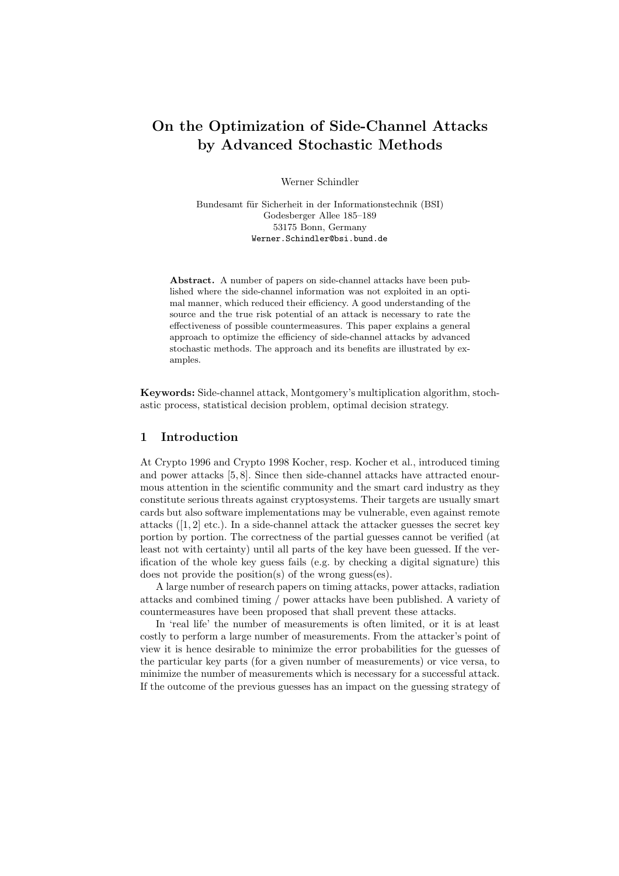# On the Optimization of Side-Channel Attacks by Advanced Stochastic Methods

Werner Schindler

Bundesamt für Sicherheit in der Informationstechnik (BSI) Godesberger Allee 185–189 53175 Bonn, Germany Werner.Schindler@bsi.bund.de

Abstract. A number of papers on side-channel attacks have been published where the side-channel information was not exploited in an optimal manner, which reduced their efficiency. A good understanding of the source and the true risk potential of an attack is necessary to rate the effectiveness of possible countermeasures. This paper explains a general approach to optimize the efficiency of side-channel attacks by advanced stochastic methods. The approach and its benefits are illustrated by examples.

Keywords: Side-channel attack, Montgomery's multiplication algorithm, stochastic process, statistical decision problem, optimal decision strategy.

## 1 Introduction

At Crypto 1996 and Crypto 1998 Kocher, resp. Kocher et al., introduced timing and power attacks [5, 8]. Since then side-channel attacks have attracted enourmous attention in the scientific community and the smart card industry as they constitute serious threats against cryptosystems. Their targets are usually smart cards but also software implementations may be vulnerable, even against remote attacks  $([1, 2]$  etc.). In a side-channel attack the attacker guesses the secret key portion by portion. The correctness of the partial guesses cannot be verified (at least not with certainty) until all parts of the key have been guessed. If the verification of the whole key guess fails (e.g. by checking a digital signature) this does not provide the position(s) of the wrong guess(es).

A large number of research papers on timing attacks, power attacks, radiation attacks and combined timing / power attacks have been published. A variety of countermeasures have been proposed that shall prevent these attacks.

In 'real life' the number of measurements is often limited, or it is at least costly to perform a large number of measurements. From the attacker's point of view it is hence desirable to minimize the error probabilities for the guesses of the particular key parts (for a given number of measurements) or vice versa, to minimize the number of measurements which is necessary for a successful attack. If the outcome of the previous guesses has an impact on the guessing strategy of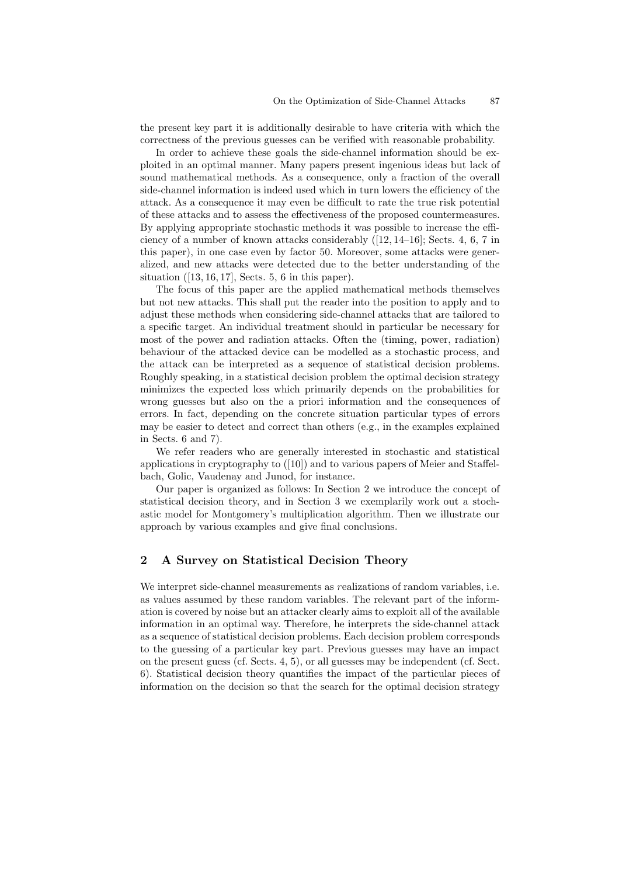the present key part it is additionally desirable to have criteria with which the correctness of the previous guesses can be verified with reasonable probability.

In order to achieve these goals the side-channel information should be exploited in an optimal manner. Many papers present ingenious ideas but lack of sound mathematical methods. As a consequence, only a fraction of the overall side-channel information is indeed used which in turn lowers the efficiency of the attack. As a consequence it may even be difficult to rate the true risk potential of these attacks and to assess the effectiveness of the proposed countermeasures. By applying appropriate stochastic methods it was possible to increase the efficiency of a number of known attacks considerably ([12, 14–16]; Sects. 4, 6, 7 in this paper), in one case even by factor 50. Moreover, some attacks were generalized, and new attacks were detected due to the better understanding of the situation  $(13, 16, 17]$ , Sects. 5, 6 in this paper).

The focus of this paper are the applied mathematical methods themselves but not new attacks. This shall put the reader into the position to apply and to adjust these methods when considering side-channel attacks that are tailored to a specific target. An individual treatment should in particular be necessary for most of the power and radiation attacks. Often the (timing, power, radiation) behaviour of the attacked device can be modelled as a stochastic process, and the attack can be interpreted as a sequence of statistical decision problems. Roughly speaking, in a statistical decision problem the optimal decision strategy minimizes the expected loss which primarily depends on the probabilities for wrong guesses but also on the a priori information and the consequences of errors. In fact, depending on the concrete situation particular types of errors may be easier to detect and correct than others (e.g., in the examples explained in Sects. 6 and 7).

We refer readers who are generally interested in stochastic and statistical applications in cryptography to ([10]) and to various papers of Meier and Staffelbach, Golic, Vaudenay and Junod, for instance.

Our paper is organized as follows: In Section 2 we introduce the concept of statistical decision theory, and in Section 3 we exemplarily work out a stochastic model for Montgomery's multiplication algorithm. Then we illustrate our approach by various examples and give final conclusions.

# 2 A Survey on Statistical Decision Theory

We interpret side-channel measurements as realizations of random variables, i.e. as values assumed by these random variables. The relevant part of the information is covered by noise but an attacker clearly aims to exploit all of the available information in an optimal way. Therefore, he interprets the side-channel attack as a sequence of statistical decision problems. Each decision problem corresponds to the guessing of a particular key part. Previous guesses may have an impact on the present guess (cf. Sects. 4, 5), or all guesses may be independent (cf. Sect. 6). Statistical decision theory quantifies the impact of the particular pieces of information on the decision so that the search for the optimal decision strategy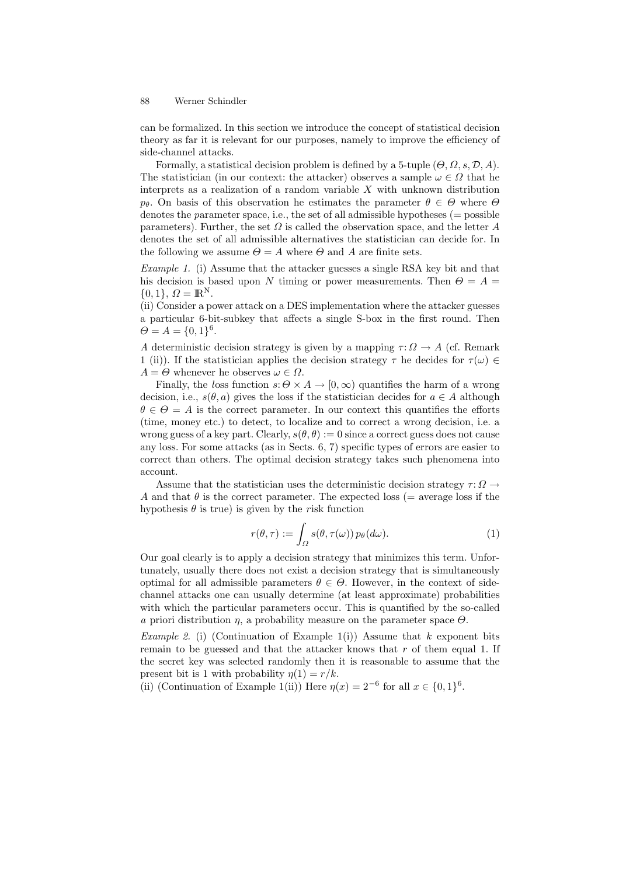can be formalized. In this section we introduce the concept of statistical decision theory as far it is relevant for our purposes, namely to improve the efficiency of side-channel attacks.

Formally, a statistical decision problem is defined by a 5-tuple  $(\Theta, \Omega, s, \mathcal{D}, A)$ . The statistician (in our context: the attacker) observes a sample  $\omega \in \Omega$  that he interprets as a realization of a random variable  $X$  with unknown distribution  $p_{\theta}$ . On basis of this observation he estimates the parameter  $\theta \in \Theta$  where  $\Theta$ denotes the parameter space, i.e., the set of all admissible hypotheses  $(=$  possible parameters). Further, the set  $\Omega$  is called the observation space, and the letter A denotes the set of all admissible alternatives the statistician can decide for. In the following we assume  $\Theta = A$  where  $\Theta$  and A are finite sets.

Example 1. (i) Assume that the attacker guesses a single RSA key bit and that his decision is based upon N timing or power measurements. Then  $\Theta = A =$  ${0, 1}, \Omega = \mathbb{R}^N.$ 

(ii) Consider a power attack on a DES implementation where the attacker guesses a particular 6-bit-subkey that affects a single S-box in the first round. Then  $\Theta = A = \{0, 1\}^6.$ 

A deterministic decision strategy is given by a mapping  $\tau: \Omega \to A$  (cf. Remark 1 (ii)). If the statistician applies the decision strategy  $\tau$  he decides for  $\tau(\omega) \in$  $A = \Theta$  whenever he observes  $\omega \in \Omega$ .

Finally, the loss function  $s: \Theta \times A \rightarrow [0, \infty)$  quantifies the harm of a wrong decision, i.e.,  $s(\theta, a)$  gives the loss if the statistician decides for  $a \in A$  although  $\theta \in \Theta = A$  is the correct parameter. In our context this quantifies the efforts (time, money etc.) to detect, to localize and to correct a wrong decision, i.e. a wrong guess of a key part. Clearly,  $s(\theta, \theta) := 0$  since a correct guess does not cause any loss. For some attacks (as in Sects. 6, 7) specific types of errors are easier to correct than others. The optimal decision strategy takes such phenomena into account.

Assume that the statistician uses the deterministic decision strategy  $\tau: \Omega \to$ A and that  $\theta$  is the correct parameter. The expected loss (= average loss if the hypothesis  $\theta$  is true) is given by the risk function

$$
r(\theta, \tau) := \int_{\Omega} s(\theta, \tau(\omega)) p_{\theta}(d\omega).
$$
 (1)

Our goal clearly is to apply a decision strategy that minimizes this term. Unfortunately, usually there does not exist a decision strategy that is simultaneously optimal for all admissible parameters  $\theta \in \Theta$ . However, in the context of sidechannel attacks one can usually determine (at least approximate) probabilities with which the particular parameters occur. This is quantified by the so-called a priori distribution  $\eta$ , a probability measure on the parameter space  $\Theta$ .

Example 2. (i) (Continuation of Example 1(i)) Assume that  $k$  exponent bits remain to be guessed and that the attacker knows that  $r$  of them equal 1. If the secret key was selected randomly then it is reasonable to assume that the present bit is 1 with probability  $\eta(1) = r/k$ .

(ii) (Continuation of Example 1(ii)) Here  $\eta(x) = 2^{-6}$  for all  $x \in \{0, 1\}^6$ .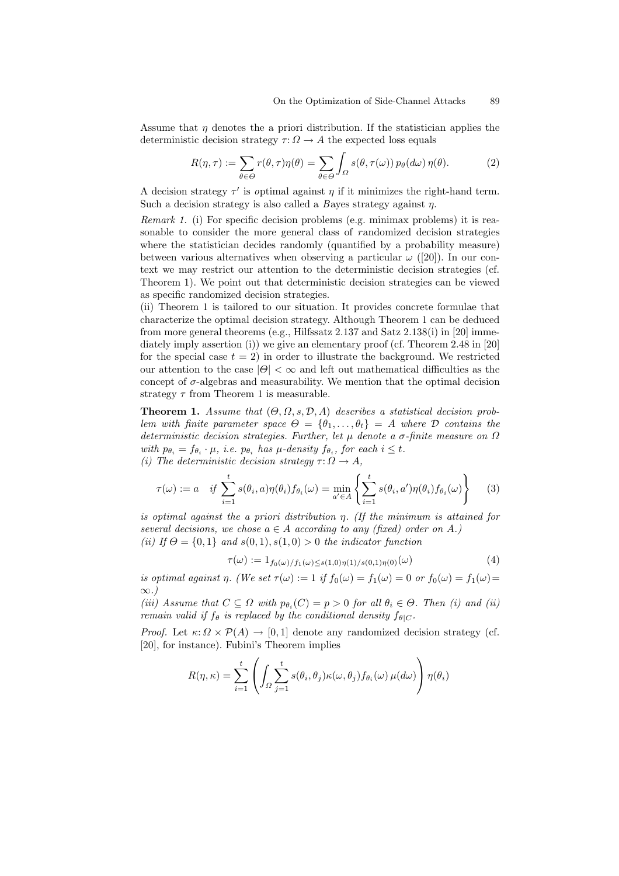Assume that  $\eta$  denotes the a priori distribution. If the statistician applies the deterministic decision strategy  $\tau: \Omega \to A$  the expected loss equals

$$
R(\eta, \tau) := \sum_{\theta \in \Theta} r(\theta, \tau) \eta(\theta) = \sum_{\theta \in \Theta} \int_{\Omega} s(\theta, \tau(\omega)) p_{\theta}(d\omega) \eta(\theta).
$$
 (2)

A decision strategy  $\tau'$  is optimal against  $\eta$  if it minimizes the right-hand term. Such a decision strategy is also called a Bayes strategy against  $\eta$ .

Remark 1. (i) For specific decision problems (e.g. minimax problems) it is reasonable to consider the more general class of randomized decision strategies where the statistician decides randomly (quantified by a probability measure) between various alternatives when observing a particular  $\omega$  ([20]). In our context we may restrict our attention to the deterministic decision strategies (cf. Theorem 1). We point out that deterministic decision strategies can be viewed as specific randomized decision strategies.

(ii) Theorem 1 is tailored to our situation. It provides concrete formulae that characterize the optimal decision strategy. Although Theorem 1 can be deduced from more general theorems (e.g., Hilfssatz 2.137 and Satz 2.138(i) in [20] immediately imply assertion (i)) we give an elementary proof (cf. Theorem 2.48 in [20] for the special case  $t = 2$ ) in order to illustrate the background. We restricted our attention to the case  $|\Theta| < \infty$  and left out mathematical difficulties as the concept of  $\sigma$ -algebras and measurability. We mention that the optimal decision strategy  $\tau$  from Theorem 1 is measurable.

**Theorem 1.** Assume that  $(\Theta, \Omega, s, \mathcal{D}, A)$  describes a statistical decision problem with finite parameter space  $\Theta = {\theta_1, \ldots, \theta_t} = A$  where  $D$  contains the deterministic decision strategies. Further, let  $\mu$  denote a  $\sigma$ -finite measure on  $\Omega$ with  $p_{\theta_i} = f_{\theta_i} \cdot \mu$ , i.e.  $p_{\theta_i}$  has  $\mu$ -density  $f_{\theta_i}$ , for each  $i \leq t$ . (i) The deterministic decision strategy  $\tau: \Omega \to A$ ,

$$
\tau(\omega) := a \quad \text{if } \sum_{i=1}^t s(\theta_i, a)\eta(\theta_i)f_{\theta_i}(\omega) = \min_{a' \in A} \left\{ \sum_{i=1}^t s(\theta_i, a')\eta(\theta_i)f_{\theta_i}(\omega) \right\} \tag{3}
$$

is optimal against the a priori distribution  $\eta$ . (If the minimum is attained for several decisions, we chose  $a \in A$  according to any (fixed) order on A.) (ii) If  $\Theta = \{0, 1\}$  and  $s(0, 1), s(1, 0) > 0$  the indicator function

$$
\tau(\omega) := 1_{f_0(\omega)/f_1(\omega) \le s(1,0)\eta(1)/s(0,1)\eta(0)}(\omega)
$$
\n(4)

is optimal against  $\eta$ . (We set  $\tau(\omega) := 1$  if  $f_0(\omega) = f_1(\omega) = 0$  or  $f_0(\omega) = f_1(\omega) =$ ∞.)

(iii) Assume that  $C \subseteq \Omega$  with  $p_{\theta_i}(C) = p > 0$  for all  $\theta_i \in \Theta$ . Then (i) and (ii) remain valid if  $f_{\theta}$  is replaced by the conditional density  $f_{\theta|C}$ .

*Proof.* Let  $\kappa: \Omega \times \mathcal{P}(A) \to [0,1]$  denote any randomized decision strategy (cf. [20], for instance). Fubini's Theorem implies

$$
R(\eta, \kappa) = \sum_{i=1}^{t} \left( \int_{\Omega} \sum_{j=1}^{t} s(\theta_i, \theta_j) \kappa(\omega, \theta_j) f_{\theta_i}(\omega) \mu(d\omega) \right) \eta(\theta_i)
$$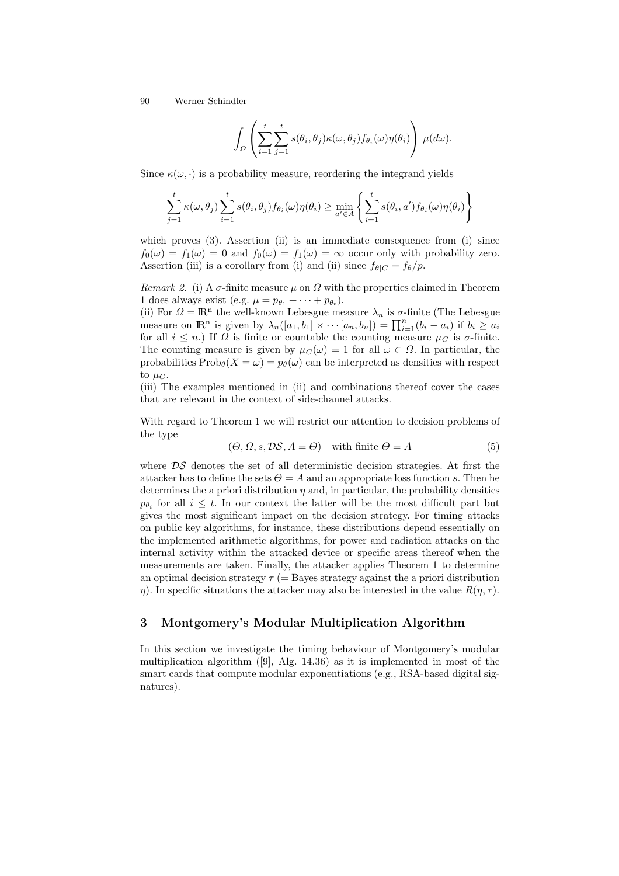$$
\int_{\Omega}\left(\sum_{i=1}^t\sum_{j=1}^t s(\theta_i,\theta_j)\kappa(\omega,\theta_j)f_{\theta_i}(\omega)\eta(\theta_i)\right)\,\mu(d\omega).
$$

Since  $\kappa(\omega, \cdot)$  is a probability measure, reordering the integrand yields

$$
\sum_{j=1}^t \kappa(\omega, \theta_j) \sum_{i=1}^t s(\theta_i, \theta_j) f_{\theta_i}(\omega) \eta(\theta_i) \ge \min_{a' \in A} \left\{ \sum_{i=1}^t s(\theta_i, a') f_{\theta_i}(\omega) \eta(\theta_i) \right\}
$$

which proves (3). Assertion (ii) is an immediate consequence from (i) since  $f_0(\omega) = f_1(\omega) = 0$  and  $f_0(\omega) = f_1(\omega) = \infty$  occur only with probability zero. Assertion (iii) is a corollary from (i) and (ii) since  $f_{\theta|C} = f_{\theta}/p$ .

Remark 2. (i) A  $\sigma$ -finite measure  $\mu$  on  $\Omega$  with the properties claimed in Theorem 1 does always exist (e.g.  $\mu = p_{\theta_1} + \cdots + p_{\theta_t}$ ).

(ii) For  $\Omega = \mathbb{R}^n$  the well-known Lebesgue measure  $\lambda_n$  is  $\sigma$ -finite (The Lebesgue measure on  $\mathbb{R}^n$  is given by  $\lambda_n([a_1,b_1] \times \cdots [a_n,b_n]) = \prod_{i=1}^n (b_i - a_i)$  if  $b_i \ge a_i$ for all  $i \leq n$ .) If  $\Omega$  is finite or countable the counting measure  $\mu_C$  is  $\sigma$ -finite. The counting measure is given by  $\mu_C(\omega) = 1$  for all  $\omega \in \Omega$ . In particular, the probabilities  $\text{Prob}_{\theta}(X = \omega) = p_{\theta}(\omega)$  can be interpreted as densities with respect to  $\mu_C$ .

(iii) The examples mentioned in (ii) and combinations thereof cover the cases that are relevant in the context of side-channel attacks.

With regard to Theorem 1 we will restrict our attention to decision problems of the type

$$
(\Theta, \Omega, s, \mathcal{DS}, A = \Theta) \quad \text{with finite } \Theta = A \tag{5}
$$

where  $DS$  denotes the set of all deterministic decision strategies. At first the attacker has to define the sets  $\Theta = A$  and an appropriate loss function s. Then he determines the a priori distribution  $\eta$  and, in particular, the probability densities  $p_{\theta_i}$  for all  $i \leq t$ . In our context the latter will be the most difficult part but gives the most significant impact on the decision strategy. For timing attacks on public key algorithms, for instance, these distributions depend essentially on the implemented arithmetic algorithms, for power and radiation attacks on the internal activity within the attacked device or specific areas thereof when the measurements are taken. Finally, the attacker applies Theorem 1 to determine an optimal decision strategy  $\tau$  (= Bayes strategy against the a priori distribution η). In specific situations the attacker may also be interested in the value  $R(\eta, \tau)$ .

## 3 Montgomery's Modular Multiplication Algorithm

In this section we investigate the timing behaviour of Montgomery's modular multiplication algorithm ([9], Alg. 14.36) as it is implemented in most of the smart cards that compute modular exponentiations (e.g., RSA-based digital signatures).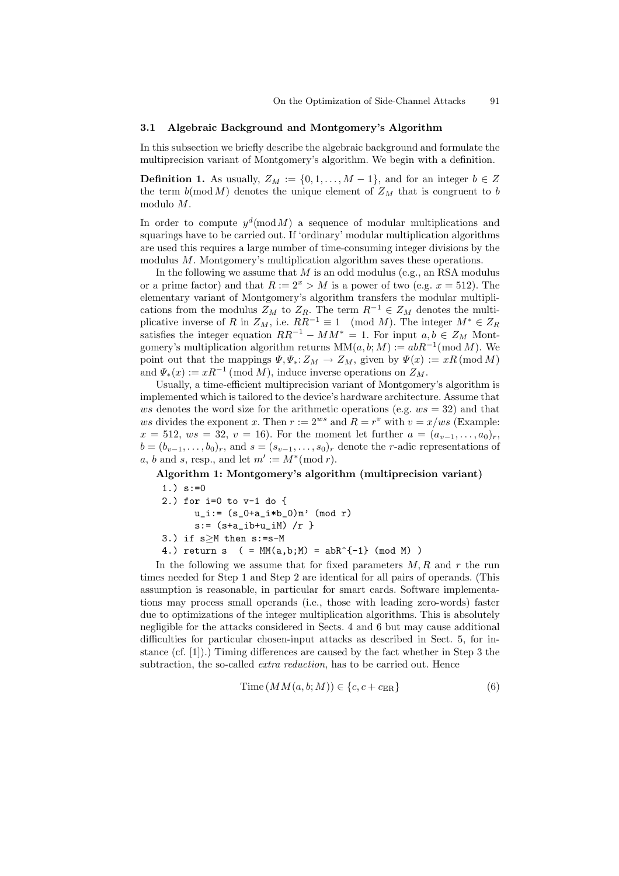#### 3.1 Algebraic Background and Montgomery's Algorithm

In this subsection we briefly describe the algebraic background and formulate the multiprecision variant of Montgomery's algorithm. We begin with a definition.

**Definition 1.** As usually,  $Z_M := \{0, 1, \ldots, M-1\}$ , and for an integer  $b \in Z$ the term  $b(\text{mod}M)$  denotes the unique element of  $Z_M$  that is congruent to b modulo M.

In order to compute  $y^d$ (mod $M$ ) a sequence of modular multiplications and squarings have to be carried out. If 'ordinary' modular multiplication algorithms are used this requires a large number of time-consuming integer divisions by the modulus M. Montgomery's multiplication algorithm saves these operations.

In the following we assume that  $M$  is an odd modulus (e.g., an RSA modulus or a prime factor) and that  $R := 2^x > M$  is a power of two (e.g.  $x = 512$ ). The elementary variant of Montgomery's algorithm transfers the modular multiplications from the modulus  $Z_M$  to  $Z_R$ . The term  $R^{-1} \in Z_M$  denotes the multiplicative inverse of R in  $Z_M$ , i.e.  $RR^{-1} \equiv 1 \pmod{M}$ . The integer  $M^* \in Z_R$ satisfies the integer equation  $RR^{-1} - MM^* = 1$ . For input  $a, b \in Z_M$  Montgomery's multiplication algorithm returns  $MM(a, b; M) := abR^{-1} \pmod{M}$ . We point out that the mappings  $\Psi, \Psi_* : Z_M \to Z_M$ , given by  $\Psi(x) := xR \pmod{M}$ and  $\Psi_*(x) := xR^{-1} \pmod{M}$ , induce inverse operations on  $Z_M$ .

Usually, a time-efficient multiprecision variant of Montgomery's algorithm is implemented which is tailored to the device's hardware architecture. Assume that ws denotes the word size for the arithmetic operations (e.g.  $ws = 32$ ) and that ws divides the exponent x. Then  $r := 2^{ws}$  and  $R = r^v$  with  $v = x/ws$  (Example:  $x = 512, \, ws = 32, \, v = 16$ ). For the moment let further  $a = (a_{v-1}, \ldots, a_0)_r$ ,  $b = (b_{v-1}, \ldots, b_0)_r$ , and  $s = (s_{v-1}, \ldots, s_0)_r$  denote the r-adic representations of a, b and s, resp., and let  $m' := M^*(\text{mod } r)$ .

Algorithm 1: Montgomery's algorithm (multiprecision variant)

1.)  $s:=0$ 2.) for i=0 to v-1 do {  $u_i := (s_0 + a_i * b_0) m'$  (mod r)  $s:=$   $(s+a_i)b+u_iM)$  /r } 3.) if s≥M then s:=s-M 4.) return s  $( = MM(a, b; M) = abR^{-1} - 1$  (mod M) )

In the following we assume that for fixed parameters  $M, R$  and r the run times needed for Step 1 and Step 2 are identical for all pairs of operands. (This assumption is reasonable, in particular for smart cards. Software implementations may process small operands (i.e., those with leading zero-words) faster due to optimizations of the integer multiplication algorithms. This is absolutely negligible for the attacks considered in Sects. 4 and 6 but may cause additional difficulties for particular chosen-input attacks as described in Sect. 5, for instance (cf. [1]).) Timing differences are caused by the fact whether in Step 3 the subtraction, the so-called *extra reduction*, has to be carried out. Hence

$$
\text{Time}\left(MM(a,b;M)\right) \in \{c, c + c_{\text{ER}}\}\tag{6}
$$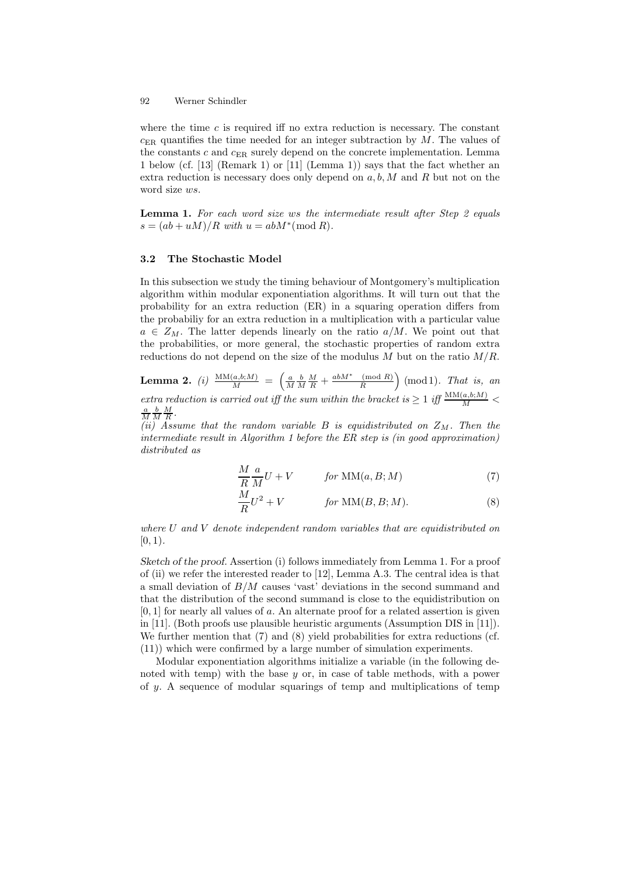where the time  $c$  is required iff no extra reduction is necessary. The constant  $c_{\text{ER}}$  quantifies the time needed for an integer subtraction by M. The values of the constants  $c$  and  $c_{ER}$  surely depend on the concrete implementation. Lemma 1 below (cf. [13] (Remark 1) or [11] (Lemma 1)) says that the fact whether an extra reduction is necessary does only depend on  $a, b, M$  and R but not on the word size ws.

Lemma 1. For each word size ws the intermediate result after Step 2 equals  $s = (ab + uM)/R$  with  $u = abM^*(\text{mod } R)$ .

## 3.2 The Stochastic Model

In this subsection we study the timing behaviour of Montgomery's multiplication algorithm within modular exponentiation algorithms. It will turn out that the probability for an extra reduction (ER) in a squaring operation differs from the probabiliy for an extra reduction in a multiplication with a particular value  $a \in Z_M$ . The latter depends linearly on the ratio  $a/M$ . We point out that the probabilities, or more general, the stochastic properties of random extra reductions do not depend on the size of the modulus M but on the ratio  $M/R$ .

Lemma 2. (i)  $\frac{\text{MM}(a,b;M)}{M} = \left( \frac{a}{M} \frac{b}{M} \frac{M}{R} + \frac{abM^* \pmod{R}}{R} \right)$ R (mod1). That is, an extra reduction is carried out iff the sum within the bracket is  $\geq 1$  iff  $\frac{\text{MM}(a,b;M)}{M}$ a b M .

 $M M R$ .<br>(ii) Assume that the random variable B is equidistributed on  $Z_M$ . Then the intermediate result in Algorithm 1 before the ER step is (in good approximation) distributed as

$$
\frac{M}{R}\frac{a}{M}U + V \qquad \qquad \text{for } \text{MM}(a, B; M) \tag{7}
$$

$$
\frac{M}{R}U^2 + V \qquad \text{for MM}(B, B; M). \tag{8}
$$

where U and V denote independent random variables that are equidistributed on  $[0, 1)$ .

Sketch of the proof. Assertion (i) follows immediately from Lemma 1. For a proof of (ii) we refer the interested reader to [12], Lemma A.3. The central idea is that a small deviation of  $B/M$  causes 'vast' deviations in the second summand and that the distribution of the second summand is close to the equidistribution on  $[0, 1]$  for nearly all values of a. An alternate proof for a related assertion is given in [11]. (Both proofs use plausible heuristic arguments (Assumption DIS in [11]). We further mention that (7) and (8) yield probabilities for extra reductions (cf. (11)) which were confirmed by a large number of simulation experiments.

Modular exponentiation algorithms initialize a variable (in the following denoted with temp) with the base  $y$  or, in case of table methods, with a power of y. A sequence of modular squarings of temp and multiplications of temp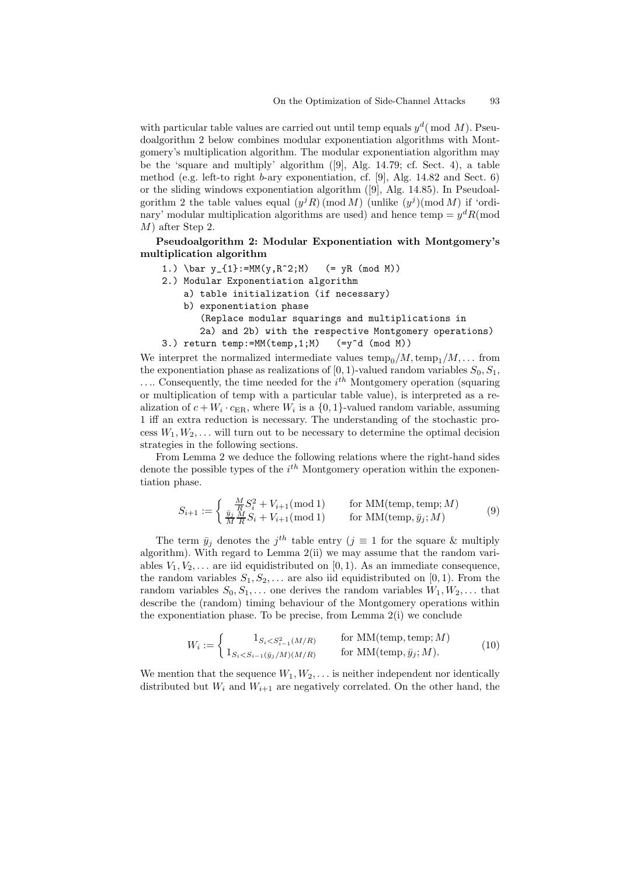with particular table values are carried out until temp equals  $y^d \pmod{M}$ . Pseudoalgorithm 2 below combines modular exponentiation algorithms with Montgomery's multiplication algorithm. The modular exponentiation algorithm may be the 'square and multiply' algorithm ([9], Alg. 14.79; cf. Sect. 4), a table method (e.g. left-to right b-ary exponentiation, cf. [9], Alg.  $14.82$  and Sect. 6) or the sliding windows exponentiation algorithm ([9], Alg. 14.85). In Pseudoalgorithm 2 the table values equal  $(y^{j}R) \pmod{M}$  (unlike  $(y^{j}) \pmod{M}$  if 'ordinary' modular multiplication algorithms are used) and hence temp  $= y^d R$ (mod M) after Step 2.

Pseudoalgorithm 2: Modular Exponentiation with Montgomery's multiplication algorithm

- 1.) \bar  $y_{1}$ :=MM(y,R^2;M) (= yR (mod M))
- 2.) Modular Exponentiation algorithm
	- a) table initialization (if necessary)
- b) exponentiation phase (Replace modular squarings and multiplications in 2a) and 2b) with the respective Montgomery operations)
- 3.) return temp:=MM(temp,1;M)  $(=y^d \pmod{M})$

We interpret the normalized intermediate values  $\text{temp}_0/M, \text{temp}_1/M, \dots$  from the exponentiation phase as realizations of  $[0, 1)$ -valued random variables  $S_0, S_1$ ,  $\dots$  Consequently, the time needed for the  $i^{th}$  Montgomery operation (squaring or multiplication of temp with a particular table value), is interpreted as a realization of  $c + W_i \cdot c_{\text{ER}}$ , where  $W_i$  is a  $\{0, 1\}$ -valued random variable, assuming 1 iff an extra reduction is necessary. The understanding of the stochastic process  $W_1, W_2, \ldots$  will turn out to be necessary to determine the optimal decision strategies in the following sections.

From Lemma 2 we deduce the following relations where the right-hand sides denote the possible types of the  $i<sup>th</sup>$  Montgomery operation within the exponentiation phase.

$$
S_{i+1} := \begin{cases} \frac{M}{R} S_i^2 + V_{i+1} \pmod{1} & \text{for MM}(\text{temp}, \text{temp}; M) \\ \frac{\bar{y}_j}{M} \frac{M}{R} S_i + V_{i+1} \pmod{1} & \text{for MM}(\text{temp}, \bar{y}_j; M) \end{cases} \tag{9}
$$

The term  $\bar{y}_j$  denotes the  $j^{th}$  table entry (j  $\equiv$  1 for the square & multiply algorithm). With regard to Lemma 2(ii) we may assume that the random variables  $V_1, V_2, \ldots$  are iid equidistributed on [0, 1). As an immediate consequence, the random variables  $S_1, S_2, \ldots$  are also iid equidistributed on [0, 1). From the random variables  $S_0, S_1, \ldots$  one derives the random variables  $W_1, W_2, \ldots$  that describe the (random) timing behaviour of the Montgomery operations within the exponentiation phase. To be precise, from Lemma 2(i) we conclude

$$
W_i := \begin{cases} 1_{S_i < S_{i-1}^2(M/R) \\ 1_{S_i < S_{i-1}(\bar{y}_j/M)(M/R)} \end{cases} \quad \text{for MM}(\text{temp}, \text{temp}; M) \tag{10}
$$

We mention that the sequence  $W_1, W_2, \ldots$  is neither independent nor identically distributed but  $W_i$  and  $W_{i+1}$  are negatively correlated. On the other hand, the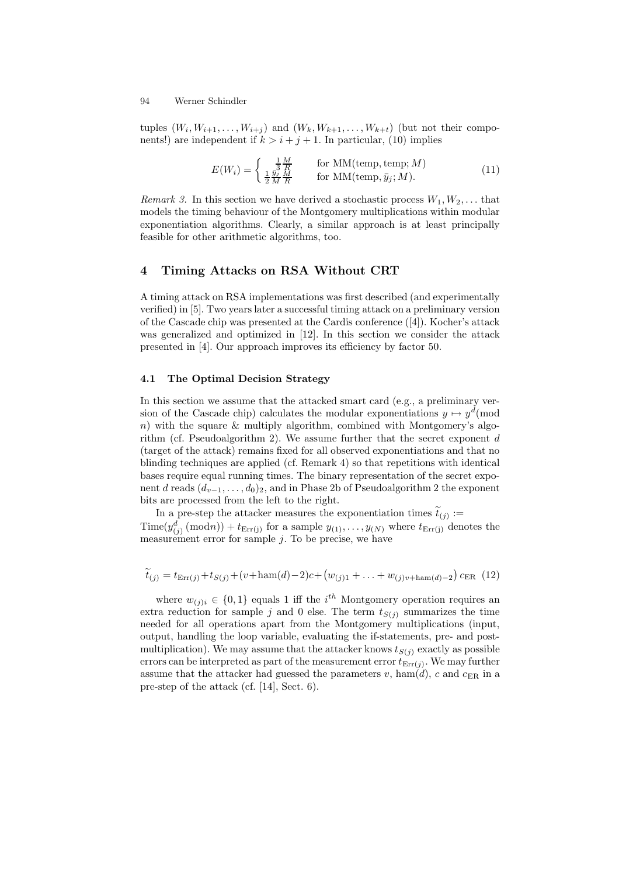tuples  $(W_i, W_{i+1}, \ldots, W_{i+j})$  and  $(W_k, W_{k+1}, \ldots, W_{k+t})$  (but not their components!) are independent if  $k > i + j + 1$ . In particular, (10) implies

$$
E(W_i) = \begin{cases} \frac{1}{3} \frac{M}{R} & \text{for MM}(\text{temp}, \text{temp}; M) \\ \frac{1}{2} \frac{y_j}{M} \frac{M}{R} & \text{for MM}(\text{temp}, \bar{y}_j; M). \end{cases}
$$
(11)

Remark 3. In this section we have derived a stochastic process  $W_1, W_2, \ldots$  that models the timing behaviour of the Montgomery multiplications within modular exponentiation algorithms. Clearly, a similar approach is at least principally feasible for other arithmetic algorithms, too.

# 4 Timing Attacks on RSA Without CRT

A timing attack on RSA implementations was first described (and experimentally verified) in [5]. Two years later a successful timing attack on a preliminary version of the Cascade chip was presented at the Cardis conference ([4]). Kocher's attack was generalized and optimized in [12]. In this section we consider the attack presented in [4]. Our approach improves its efficiency by factor 50.

#### 4.1 The Optimal Decision Strategy

In this section we assume that the attacked smart card (e.g., a preliminary version of the Cascade chip) calculates the modular exponentiations  $y \mapsto y^d$  (mod  $n)$  with the square  $\&$  multiply algorithm, combined with Montgomery's algorithm (cf. Pseudoalgorithm 2). We assume further that the secret exponent  $d$ (target of the attack) remains fixed for all observed exponentiations and that no blinding techniques are applied (cf. Remark 4) so that repetitions with identical bases require equal running times. The binary representation of the secret exponent d reads  $(d_{v-1}, \ldots, d_0)_2$ , and in Phase 2b of Pseudoalgorithm 2 the exponent bits are processed from the left to the right.

In a pre-step the attacker measures the exponentiation times  $t_{(j)}$  :=  $\text{Time}(y_{(j)}^d \text{ (mod } n) + t_{\text{Err}(j)} \text{ for a sample } y_{(1)}, \ldots, y_{(N)} \text{ where } t_{\text{Err}(j)} \text{ denotes the }$ measurement error for sample  $j$ . To be precise, we have

$$
\widetilde{t}_{(j)} = t_{\text{Err}(j)} + t_{S(j)} + (v + \text{ham}(d) - 2)c + (w_{(j)1} + \dots + w_{(j)v + \text{ham}(d) - 2})c_{\text{ER}} (12)
$$

where  $w_{(j)i} \in \{0,1\}$  equals 1 iff the  $i^{th}$  Montgomery operation requires an extra reduction for sample j and 0 else. The term  $t_{S(j)}$  summarizes the time needed for all operations apart from the Montgomery multiplications (input, output, handling the loop variable, evaluating the if-statements, pre- and postmultiplication). We may assume that the attacker knows  $t_{S(j)}$  exactly as possible errors can be interpreted as part of the measurement error  $t_{\text{Err}(j)}$ . We may further assume that the attacker had guessed the parameters v, ham(d), c and  $c_{\text{ER}}$  in a pre-step of the attack (cf. [14], Sect. 6).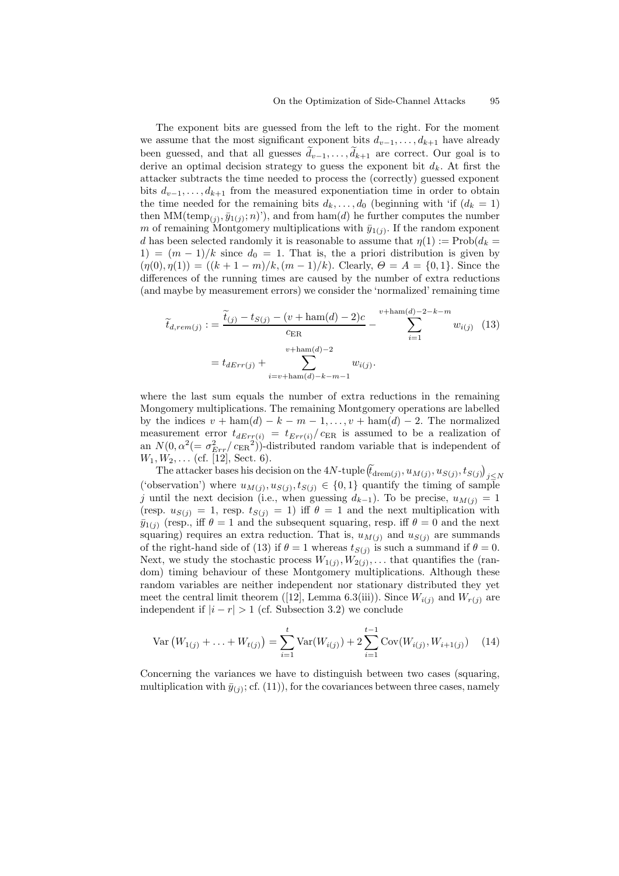The exponent bits are guessed from the left to the right. For the moment we assume that the most significant exponent bits  $d_{v-1}, \ldots, d_{k+1}$  have already been guessed, and that all guesses  $\tilde{d}_{v-1}, \ldots, \tilde{d}_{k+1}$  are correct. Our goal is to derive an optimal decision strategy to guess the exponent bit  $d_k$ . At first the attacker subtracts the time needed to process the (correctly) guessed exponent bits  $d_{v-1}, \ldots, d_{k+1}$  from the measured exponentiation time in order to obtain the time needed for the remaining bits  $d_k, \ldots, d_0$  (beginning with 'if  $(d_k = 1)$ ) then  $MM(\text{temp}_{(j)}, \bar{y}_{1(j)}; n)$ '), and from ham $(d)$  he further computes the number m of remaining Montgomery multiplications with  $\bar{y}_{1(j)}$ . If the random exponent d has been selected randomly it is reasonable to assume that  $\eta(1) := \text{Prob}(d_k =$  $1) = (m-1)/k$  since  $d_0 = 1$ . That is, the a priori distribution is given by  $(\eta(0), \eta(1)) = ((k+1-m)/k, (m-1)/k)$ . Clearly,  $\Theta = A = \{0, 1\}$ . Since the differences of the running times are caused by the number of extra reductions (and maybe by measurement errors) we consider the 'normalized' remaining time

$$
\widetilde{t}_{d,rem(j)} := \frac{\widetilde{t}_{(j)} - t_{S(j)} - (v + \operatorname{ham}(d) - 2)c}{c_{\text{ER}}} - \sum_{i=1}^{v + \operatorname{ham}(d) - 2 - k - m} w_{i(j)} \tag{13}
$$
\n
$$
= t_{dErr(j)} + \sum_{i=v + \operatorname{ham}(d) - k - m - 1} w_{i(j)}.
$$

where the last sum equals the number of extra reductions in the remaining Mongomery multiplications. The remaining Montgomery operations are labelled by the indices  $v + \text{ham}(d) - k - m - 1, \ldots, v + \text{ham}(d) - 2$ . The normalized measurement error  $t_{dErr(i)} = t_{Err(i)}/c_{ER}$  is assumed to be a realization of an  $N(0, \alpha^2 (=\sigma_{Err}^2/\epsilon_{ER}^2))$ -distributed random variable that is independent of  $W_1, W_2, \ldots$  (cf. [12], Sect. 6).

The attacker bases his decision on the  $4N$ -tuple  $(\widetilde{t}_{\text{drem}(j)}, u_{M(j)}, u_{S(j)}, t_{S(j)})$  $j \leq N$ ('observation') where  $u_{M(j)}, u_{S(j)}, t_{S(j)} \in \{0,1\}$  quantify the timing of sample j until the next decision (i.e., when guessing  $d_{k-1}$ ). To be precise,  $u_{M(i)} = 1$ (resp.  $u_{S(j)} = 1$ , resp.  $t_{S(j)} = 1$ ) iff  $\theta = 1$  and the next multiplication with  $\bar{y}_{1(j)}$  (resp., iff  $\theta = 1$  and the subsequent squaring, resp. iff  $\theta = 0$  and the next squaring) requires an extra reduction. That is,  $u_{M(j)}$  and  $u_{S(j)}$  are summands of the right-hand side of (13) if  $\theta = 1$  whereas  $t_{S(j)}$  is such a summand if  $\theta = 0$ . Next, we study the stochastic process  $W_{1(j)}, W_{2(j)}, \ldots$  that quantifies the (random) timing behaviour of these Montgomery multiplications. Although these random variables are neither independent nor stationary distributed they yet meet the central limit theorem ([12], Lemma 6.3(iii)). Since  $W_{i(i)}$  and  $W_{r(i)}$  are independent if  $|i - r| > 1$  (cf. Subsection 3.2) we conclude

$$
\text{Var}\left(W_{1(j)} + \ldots + W_{t(j)}\right) = \sum_{i=1}^{t} \text{Var}(W_{i(j)}) + 2\sum_{i=1}^{t-1} \text{Cov}(W_{i(j)}, W_{i+1(j)}) \tag{14}
$$

Concerning the variances we have to distinguish between two cases (squaring, multiplication with  $\bar{y}_{(j)}$ ; cf. (11)), for the covariances between three cases, namely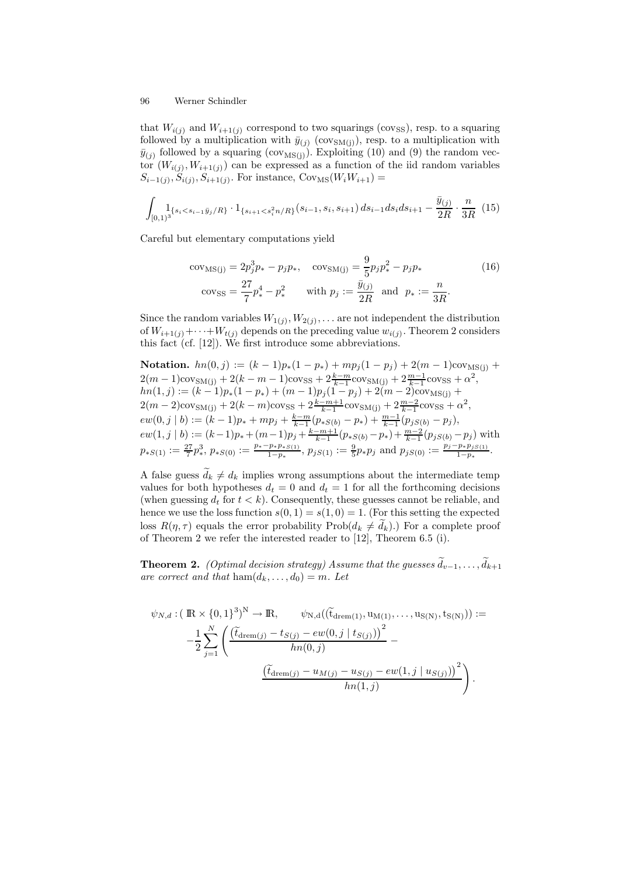that  $W_{i(j)}$  and  $W_{i+1(j)}$  correspond to two squarings (cov<sub>SS</sub>), resp. to a squaring followed by a multiplication with  $\bar{y}_{(j)}$  (cov<sub>SM(j)</sub>), resp. to a multiplication with  $\bar{y}_{(j)}$  followed by a squaring  $\langle \text{cov}_{\text{MS}(j)} \rangle$ . Exploiting (10) and (9) the random vector  $(W_{i(j)}, W_{i+1(j)})$  can be expressed as a function of the iid random variables  $S_{i-1(j)}, S_{i(j)}, S_{i+1(j)}$ . For instance,  $Cov_{MS}(W_iW_{i+1}) =$ 

$$
\int_{[0,1)^3} \left[ \mathbf{1}_{\{s_i < s_{i-1}\bar{y}_j/R\}} \cdot \mathbf{1}_{\{s_{i+1} < s_i^2 n/R\}}(s_{i-1}, s_i, s_{i+1}) ds_{i-1} ds_i ds_{i+1} - \frac{\bar{y}_{(j)}}{2R} \cdot \frac{n}{3R} \right]
$$
 (15)

Careful but elementary computations yield

$$
cov_{MS(j)} = 2p_j^3 p_* - p_j p_*, \quad cov_{SM(j)} = \frac{9}{5} p_j p_*^2 - p_j p_*
$$
\n
$$
cov_{SS} = \frac{27}{7} p_*^4 - p_*^2 \qquad \text{with } p_j := \frac{\bar{y}_{(j)}}{2R} \text{ and } p_* := \frac{n}{3R}.
$$
\n(16)

Since the random variables  $W_{1(j)}, W_{2(j)}, \ldots$  are not independent the distribution of  $W_{i+1(j)} + \cdots + W_{t(j)}$  depends on the preceding value  $w_{i(j)}$ . Theorem 2 considers this fact (cf. [12]). We first introduce some abbreviations.

**Notation.** 
$$
hn(0, j) := (k - 1)p_*(1 - p_*) + mp_j(1 - p_j) + 2(m - 1)\text{cov}_{\text{MS}(j)} + 2(m - 1)\text{cov}_{\text{SM}(j)} + 2(k - m - 1)\text{cov}_{\text{SS}} + 2\frac{k - m}{k - 1}\text{cov}_{\text{SM}(j)} + 2\frac{m - 1}{k - 1}\text{cov}_{\text{SS}} + \alpha^2,
$$
  
\n $hn(1, j) := (k - 1)p_*(1 - p_*) + (m - 1)p_j(1 - p_j) + 2(m - 2)\text{cov}_{\text{MS}(j)} + 2(m - 2)\text{cov}_{\text{MS}(j)} + 2(m - 2)\text{cov}_{\text{SM}(j)} + 2(k - m)\text{cov}_{\text{SS}} + 2\frac{k - m + 1}{k - 1}\text{cov}_{\text{SM}(j)} + 2\frac{m - 2}{k - 1}\text{cov}_{\text{SS}} + \alpha^2,$   
\n $ew(0, j | b) := (k - 1)p_* + mp_j + \frac{k - m}{k - 1}(p_{*S(b)} - p_*) + \frac{m - 2}{k - 1}(p_{jS(b)} - p_j),$   
\n $ew(1, j | b) := (k - 1)p_* + (m - 1)p_j + \frac{k - m + 1}{k - 1}(p_{*S(b)} - p_*) + \frac{m - 2}{k - 1}(p_{jS(b)} - p_j)$  with  
\n $p_{*S(1)} := \frac{27}{7}p_*^3$ ,  $p_{*S(0)} := \frac{p_* - p_* p_* s_{(1)}}{1 - p_*}$ ,  $p_j s_{(1)} := \frac{9}{5}p_* p_j$  and  $p_j s_{(0)} := \frac{p_j - p_* p_{jS(1)}}{1 - p_*}$ .

A false guess  $\tilde{d}_k \neq d_k$  implies wrong assumptions about the intermediate temp values for both hypotheses  $d_t = 0$  and  $d_t = 1$  for all the forthcoming decisions (when guessing  $d_t$  for  $t < k$ ). Consequently, these guesses cannot be reliable, and hence we use the loss function  $s(0, 1) = s(1, 0) = 1$ . (For this setting the expected loss  $R(\eta, \tau)$  equals the error probability Prob $(d_k \neq \tilde{d}_k)$ .) For a complete proof of Theorem 2 we refer the interested reader to [12], Theorem 6.5 (i).

**Theorem 2.** (Optimal decision strategy) Assume that the guesses  $\tilde{d}_{v-1}, \ldots, \tilde{d}_{k+1}$ are correct and that  $\text{ham}(d_k, \ldots, d_0) = m$ . Let

$$
\psi_{N,d} : (\mathbb{R} \times \{0,1\}^3)^N \to \mathbb{R}, \qquad \psi_{N,d}((\tilde{t}_{\text{drem}(1)}, u_{M(1)}, \dots, u_{S(N)}, t_{S(N)})) :=
$$
  

$$
-\frac{1}{2} \sum_{j=1}^N \left( \frac{(\tilde{t}_{\text{drem}(j)} - t_{S(j)} - ew(0, j \mid t_{S(j)}))^2}{hn(0, j)} - \frac{(\tilde{t}_{\text{drem}(j)} - u_{M(j)} - u_{S(j)} - ew(1, j \mid u_{S(j)}))^2}{hn(1, j)} \right).
$$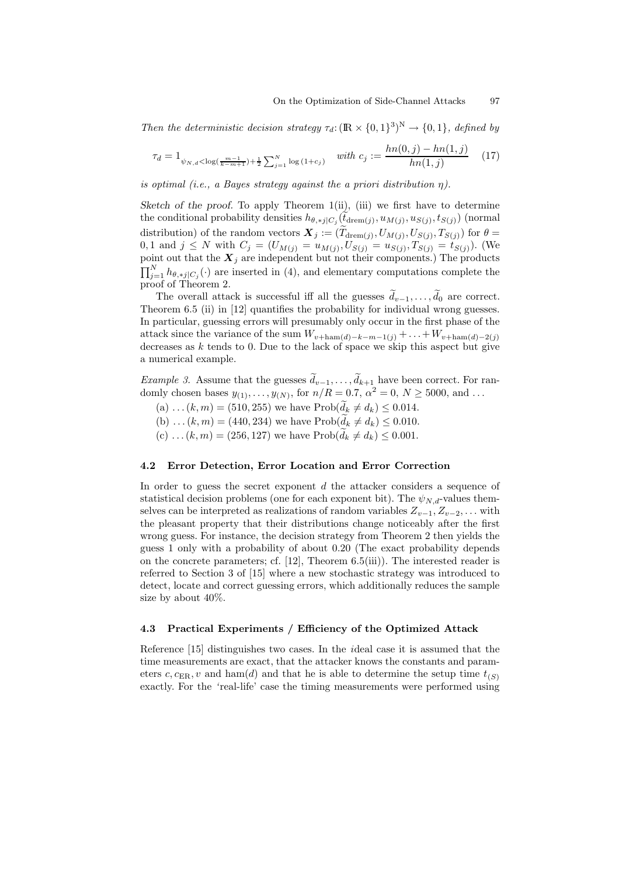Then the deterministic decision strategy  $\tau_d$ :  $(\mathbb{R} \times \{0,1\}^3)^N \to \{0,1\}$ , defined by

$$
\tau_d = 1_{\psi_{N,d} < \log\left(\frac{m-1}{k-m+1}\right) + \frac{1}{2} \sum_{j=1}^N \log\left(1 + c_j\right)} \quad \text{with } c_j := \frac{hn(0,j) - hn(1,j)}{hn(1,j)} \tag{17}
$$

is optimal (i.e., a Bayes strategy against the a priori distribution  $n$ ).

Sketch of the proof. To apply Theorem  $1(ii)$ , (iii) we first have to determine the conditional probability densities  $h_{\theta, *j|C_j}(\underline{t}_{\text{drem}(j)}, u_{M(j)}, u_{S(j)}, t_{S(j)})$  (normal distribution) of the random vectors  $\boldsymbol{X}_j := (\widetilde{T}_{\mathrm{drem}(j)}, U_{M(j)}, U_{S(j)}, T_{S(j)})$  for  $\theta =$ 0, 1 and  $j \leq N$  with  $C_j = (U_{M(j)} = u_{M(j)}, U_{S(j)} = u_{S(j)}, T_{S(j)} = t_{S(j)})$ . (We point out that the  $X_j$  are independent but not their components.) The products  $\prod_{j=1}^{N} h_{\theta, *j|C_j}(\cdot)$  are inserted in (4), and elementary computations complete the proof of Theorem 2.

The overall attack is successful iff all the guesses  $\tilde{d}_{v-1}, \ldots, \tilde{d}_0$  are correct. Theorem 6.5 (ii) in [12] quantifies the probability for individual wrong guesses. In particular, guessing errors will presumably only occur in the first phase of the attack since the variance of the sum  $W_{v+\text{ham}(d)-k-m-1(j)} + \ldots + W_{v+\text{ham}(d)-2(j)}$ decreases as  $k$  tends to 0. Due to the lack of space we skip this aspect but give a numerical example.

Example 3. Assume that the guesses  $d_{v-1}, \ldots, d_{k+1}$  have been correct. For randomly chosen bases  $y_{(1)},..., y_{(N)}$ , for  $n/R = 0.7$ ,  $\alpha^2 = 0$ ,  $N \ge 5000$ , and ...

(a) ...  $(k, m) = (510, 255)$  we have Prob $(\tilde{d}_k \neq d_k) \leq 0.014$ . (b) ...  $(k, m) = (440, 234)$  we have  $Prob(d_k \neq d_k) \leq 0.010$ .

(c) ...  $(k, m) = (256, 127)$  we have Prob $(d_k \neq d_k) \leq 0.001$ .

## 4.2 Error Detection, Error Location and Error Correction

In order to guess the secret exponent d the attacker considers a sequence of statistical decision problems (one for each exponent bit). The  $\psi_{N,d}$ -values themselves can be interpreted as realizations of random variables  $Z_{v-1}, Z_{v-2}, \ldots$  with the pleasant property that their distributions change noticeably after the first wrong guess. For instance, the decision strategy from Theorem 2 then yields the guess 1 only with a probability of about 0.20 (The exact probability depends on the concrete parameters; cf.  $[12]$ , Theorem 6.5(iii)). The interested reader is referred to Section 3 of [15] where a new stochastic strategy was introduced to detect, locate and correct guessing errors, which additionally reduces the sample size by about 40%.

#### 4.3 Practical Experiments / Efficiency of the Optimized Attack

Reference [15] distinguishes two cases. In the ideal case it is assumed that the time measurements are exact, that the attacker knows the constants and parameters c,  $c_{\text{ER}}$ , v and ham(d) and that he is able to determine the setup time  $t_{(S)}$ exactly. For the 'real-life' case the timing measurements were performed using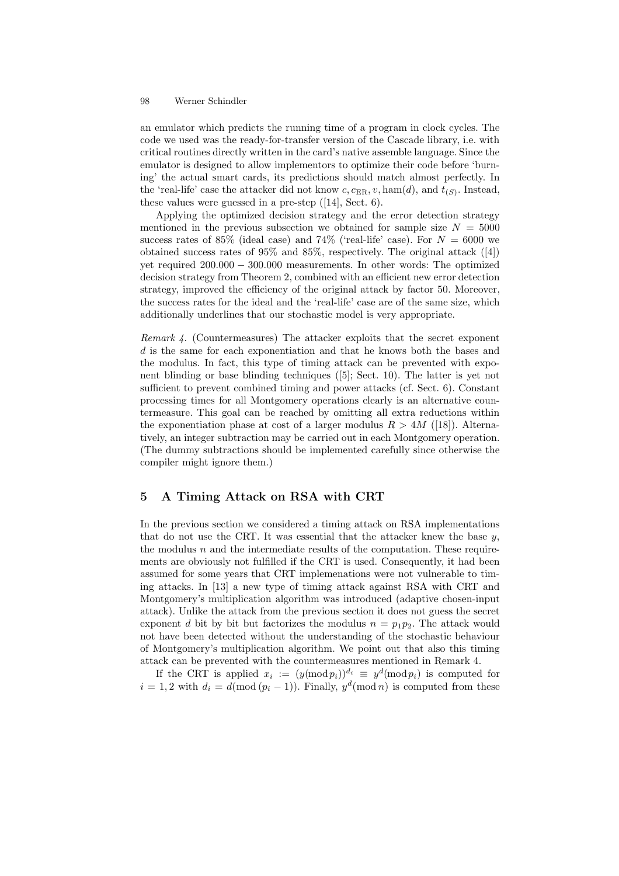an emulator which predicts the running time of a program in clock cycles. The code we used was the ready-for-transfer version of the Cascade library, i.e. with critical routines directly written in the card's native assemble language. Since the emulator is designed to allow implementors to optimize their code before 'burning' the actual smart cards, its predictions should match almost perfectly. In the 'real-life' case the attacker did not know  $c, c_{\text{ER}}, v, \text{ham}(d)$ , and  $t_{(S)}$ . Instead, these values were guessed in a pre-step ([14], Sect. 6).

Applying the optimized decision strategy and the error detection strategy mentioned in the previous subsection we obtained for sample size  $N = 5000$ success rates of 85% (ideal case) and 74% ('real-life' case). For  $N = 6000$  we obtained success rates of 95% and 85%, respectively. The original attack ([4]) yet required 200.000 − 300.000 measurements. In other words: The optimized decision strategy from Theorem 2, combined with an efficient new error detection strategy, improved the efficiency of the original attack by factor 50. Moreover, the success rates for the ideal and the 'real-life' case are of the same size, which additionally underlines that our stochastic model is very appropriate.

Remark 4. (Countermeasures) The attacker exploits that the secret exponent d is the same for each exponentiation and that he knows both the bases and the modulus. In fact, this type of timing attack can be prevented with exponent blinding or base blinding techniques ([5]; Sect. 10). The latter is yet not sufficient to prevent combined timing and power attacks (cf. Sect. 6). Constant processing times for all Montgomery operations clearly is an alternative countermeasure. This goal can be reached by omitting all extra reductions within the exponentiation phase at cost of a larger modulus  $R > 4M$  ([18]). Alternatively, an integer subtraction may be carried out in each Montgomery operation. (The dummy subtractions should be implemented carefully since otherwise the compiler might ignore them.)

# 5 A Timing Attack on RSA with CRT

In the previous section we considered a timing attack on RSA implementations that do not use the CRT. It was essential that the attacker knew the base  $y$ , the modulus  $n$  and the intermediate results of the computation. These requirements are obviously not fulfilled if the CRT is used. Consequently, it had been assumed for some years that CRT implemenations were not vulnerable to timing attacks. In [13] a new type of timing attack against RSA with CRT and Montgomery's multiplication algorithm was introduced (adaptive chosen-input attack). Unlike the attack from the previous section it does not guess the secret exponent d bit by bit but factorizes the modulus  $n = p_1p_2$ . The attack would not have been detected without the understanding of the stochastic behaviour of Montgomery's multiplication algorithm. We point out that also this timing attack can be prevented with the countermeasures mentioned in Remark 4.

If the CRT is applied  $x_i := (y(\text{mod } p_i))^{d_i} \equiv y^d(\text{mod } p_i)$  is computed for  $i = 1, 2$  with  $d_i = d \pmod{p_i - 1}$ . Finally,  $y^d \pmod{n}$  is computed from these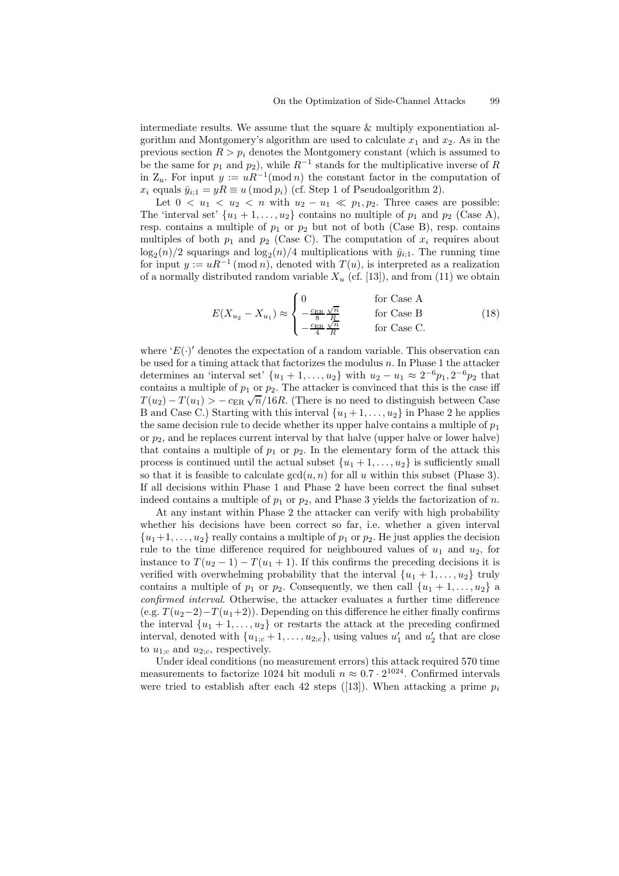intermediate results. We assume that the square & multiply exponentiation algorithm and Montgomery's algorithm are used to calculate  $x_1$  and  $x_2$ . As in the previous section  $R > p_i$  denotes the Montgomery constant (which is assumed to be the same for  $p_1$  and  $p_2$ ), while  $R^{-1}$  stands for the multiplicative inverse of R in  $Z_n$ . For input  $y := uR^{-1}(\text{mod } n)$  the constant factor in the computation of  $x_i$  equals  $\bar{y}_{i:1} = yR \equiv u \pmod{p_i}$  (cf. Step 1 of Pseudoalgorithm 2).

Let  $0 < u_1 < u_2 < n$  with  $u_2 - u_1 \ll p_1, p_2$ . Three cases are possible: The 'interval set'  $\{u_1 + 1, \ldots, u_2\}$  contains no multiple of  $p_1$  and  $p_2$  (Case A), resp. contains a multiple of  $p_1$  or  $p_2$  but not of both (Case B), resp. contains multiples of both  $p_1$  and  $p_2$  (Case C). The computation of  $x_i$  requires about  $\log_2(n)/2$  squarings and  $\log_2(n)/4$  multiplications with  $\bar{y}_{i,1}$ . The running time for input  $y := uR^{-1} \pmod{n}$ , denoted with  $T(u)$ , is interpreted as a realization of a normally distributed random variable  $X_u$  (cf. [13]), and from (11) we obtain

$$
E(X_{u_2} - X_{u_1}) \approx \begin{cases} 0 & \text{for Case A} \\ -\frac{c_{\text{ER}}}{8} \frac{\sqrt{n}}{R} & \text{for Case B} \\ -\frac{c_{\text{ER}}}{4} \frac{\sqrt{n}}{R} & \text{for Case C.} \end{cases}
$$
(18)

where  $E(\cdot)$  denotes the expectation of a random variable. This observation can be used for a timing attack that factorizes the modulus  $n$ . In Phase 1 the attacker determines an 'interval set'  $\{u_1 + 1, \ldots, u_2\}$  with  $u_2 - u_1 \approx 2^{-6}p_1, 2^{-6}p_2$  that contains a multiple of  $p_1$  or  $p_2$ . The attacker is convinced that this is the case iff  $T(u_2) - T(u_1) > -c_{\text{ER}} \sqrt{n/16R}$ . (There is no need to distinguish between Case B and Case C.) Starting with this interval  $\{u_1+1,\ldots,u_2\}$  in Phase 2 he applies the same decision rule to decide whether its upper halve contains a multiple of  $p_1$ or  $p_2$ , and he replaces current interval by that halve (upper halve or lower halve) that contains a multiple of  $p_1$  or  $p_2$ . In the elementary form of the attack this process is continued until the actual subset  $\{u_1 + 1, \ldots, u_2\}$  is sufficiently small so that it is feasible to calculate  $gcd(u, n)$  for all u within this subset (Phase 3). If all decisions within Phase 1 and Phase 2 have been correct the final subset indeed contains a multiple of  $p_1$  or  $p_2$ , and Phase 3 yields the factorization of n.

At any instant within Phase 2 the attacker can verify with high probability whether his decisions have been correct so far, i.e. whether a given interval  $\{u_1+1,\ldots,u_2\}$  really contains a multiple of  $p_1$  or  $p_2$ . He just applies the decision rule to the time difference required for neighboured values of  $u_1$  and  $u_2$ , for instance to  $T(u_2 - 1) - T(u_1 + 1)$ . If this confirms the preceding decisions it is verified with overwhelming probability that the interval  $\{u_1 + 1, \ldots, u_2\}$  truly contains a multiple of  $p_1$  or  $p_2$ . Consequently, we then call  $\{u_1 + 1, \ldots, u_2\}$  a confirmed interval. Otherwise, the attacker evaluates a further time difference (e.g.  $T(u_2-2)-T(u_1+2)$ ). Depending on this difference he either finally confirms the interval  $\{u_1 + 1, \ldots, u_2\}$  or restarts the attack at the preceding confirmed interval, denoted with  $\{u_{1,c}+1,\ldots,u_{2,c}\}$ , using values  $u'_1$  and  $u'_2$  that are close to  $u_{1,c}$  and  $u_{2,c}$ , respectively.

Under ideal conditions (no measurement errors) this attack required 570 time measurements to factorize 1024 bit moduli  $n \approx 0.7 \cdot 2^{1024}$ . Confirmed intervals were tried to establish after each 42 steps ([13]). When attacking a prime  $p_i$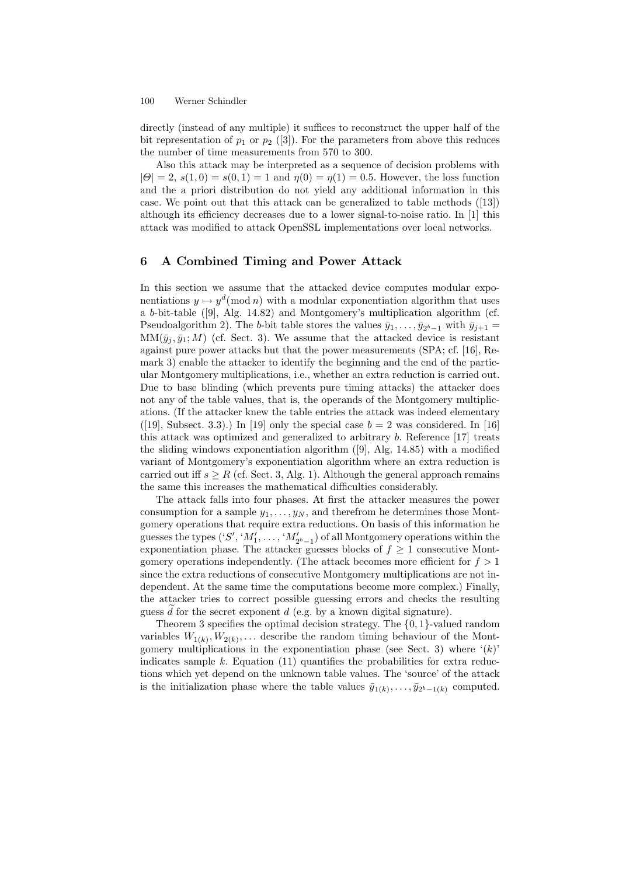directly (instead of any multiple) it suffices to reconstruct the upper half of the bit representation of  $p_1$  or  $p_2$  ([3]). For the parameters from above this reduces the number of time measurements from 570 to 300.

Also this attack may be interpreted as a sequence of decision problems with  $|\Theta| = 2$ ,  $s(1,0) = s(0,1) = 1$  and  $\eta(0) = \eta(1) = 0.5$ . However, the loss function and the a priori distribution do not yield any additional information in this case. We point out that this attack can be generalized to table methods ([13]) although its efficiency decreases due to a lower signal-to-noise ratio. In [1] this attack was modified to attack OpenSSL implementations over local networks.

# 6 A Combined Timing and Power Attack

In this section we assume that the attacked device computes modular exponentiations  $y \mapsto y^d \pmod{n}$  with a modular exponentiation algorithm that uses a b-bit-table ([9], Alg. 14.82) and Montgomery's multiplication algorithm (cf. Pseudoalgorithm 2). The b-bit table stores the values  $\bar{y}_1, \ldots, \bar{y}_{2^b-1}$  with  $\bar{y}_{j+1} =$  $MM(\bar{y}_i, \bar{y}_1; M)$  (cf. Sect. 3). We assume that the attacked device is resistant against pure power attacks but that the power measurements (SPA; cf. [16], Remark 3) enable the attacker to identify the beginning and the end of the particular Montgomery multiplications, i.e., whether an extra reduction is carried out. Due to base blinding (which prevents pure timing attacks) the attacker does not any of the table values, that is, the operands of the Montgomery multiplications. (If the attacker knew the table entries the attack was indeed elementary ([19], Subsect. 3.3).) In [19] only the special case  $b = 2$  was considered. In [16] this attack was optimized and generalized to arbitrary b. Reference [17] treats the sliding windows exponentiation algorithm ([9], Alg. 14.85) with a modified variant of Montgomery's exponentiation algorithm where an extra reduction is carried out iff  $s \geq R$  (cf. Sect. 3, Alg. 1). Although the general approach remains the same this increases the mathematical difficulties considerably.

The attack falls into four phases. At first the attacker measures the power consumption for a sample  $y_1, \ldots, y_N$ , and therefrom he determines those Montgomery operations that require extra reductions. On basis of this information he guesses the types  $({}^{\prime}S', {}^{\prime}M'_{1}, \ldots, {}^{\prime}M'_{2^b-1})$  of all Montgomery operations within the exponentiation phase. The attacker guesses blocks of  $f \geq 1$  consecutive Montgomery operations independently. (The attack becomes more efficient for  $f > 1$ since the extra reductions of consecutive Montgomery multiplications are not independent. At the same time the computations become more complex.) Finally, the attacker tries to correct possible guessing errors and checks the resulting guess  $\tilde{d}$  for the secret exponent  $d$  (e.g. by a known digital signature).

Theorem 3 specifies the optimal decision strategy. The {0, 1}-valued random variables  $W_{1(k)}, W_{2(k)}, \ldots$  describe the random timing behaviour of the Montgomery multiplications in the exponentiation phase (see Sect. 3) where  $(k)$ indicates sample  $k$ . Equation (11) quantifies the probabilities for extra reductions which yet depend on the unknown table values. The 'source' of the attack is the initialization phase where the table values  $\bar{y}_{1(k)}, \ldots, \bar{y}_{2^b-1(k)}$  computed.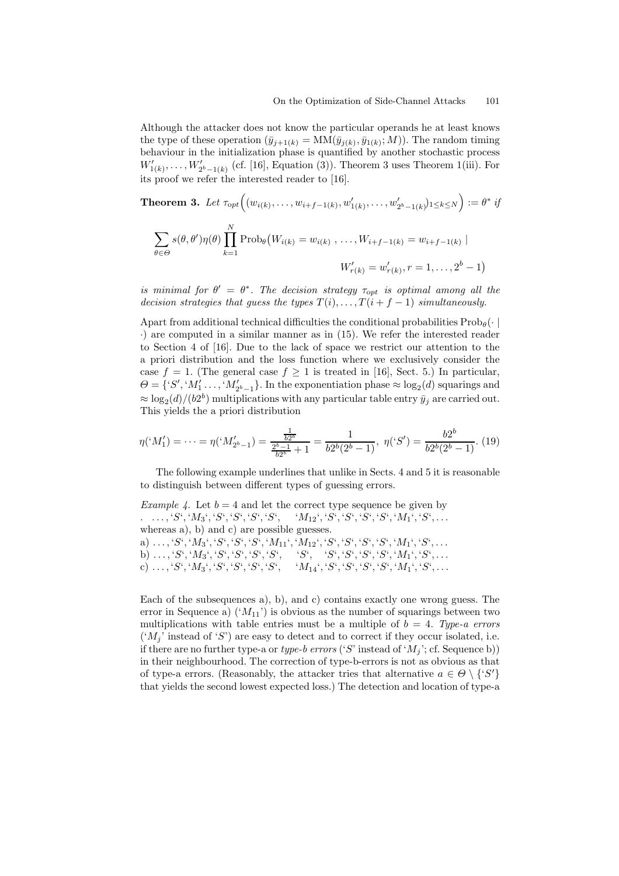Although the attacker does not know the particular operands he at least knows the type of these operation  $(\bar{y}_{j+1(k)} = MM(\bar{y}_{j(k)}, \bar{y}_{1(k)}; M))$ . The random timing behaviour in the initialization phase is quantified by another stochastic process  $W'_{1(k)},\ldots,W'_{2^b-1(k)}$  (cf. [16], Equation (3)). Theorem 3 uses Theorem 1(iii). For its proof we refer the interested reader to [16].

Theorem 3. Let  $\tau_{\text opt}\Big((w_{i(k)},\ldots,w_{i+f-1(k)},w'_{1(k)},\ldots,w'_{2^b-1(k)})_{1\leq k\leq N}\Big):=\theta^*\ ij$  $\sqrt{}$ θ∈Θ  $s(\theta, \theta')\eta(\theta)\prod^N$  $k=1$  $\text{Prob}_{\theta}(W_{i(k)} = w_{i(k)}, \ldots, W_{i+f-1(k)} = w_{i+f-1(k)} |$  $W'_{r(k)} = w'_{r(k)}, r = 1, \ldots, 2^b - 1)$ 

is minimal for  $\theta' = \theta^*$ . The decision strategy  $\tau_{\text{opt}}$  is optimal among all the decision strategies that guess the types  $T(i), \ldots, T(i + f - 1)$  simultaneously.

Apart from additional technical difficulties the conditional probabilities  $\text{Prob}_{\theta}(\cdot |$ ·) are computed in a similar manner as in (15). We refer the interested reader to Section 4 of [16]. Due to the lack of space we restrict our attention to the a priori distribution and the loss function where we exclusively consider the case  $f = 1$ . (The general case  $f \ge 1$  is treated in [16], Sect. 5.) In particular,  $\Theta = \{S', M'_1, \ldots, M'_{2^b-1}\}.$  In the exponentiation phase  $\approx \log_2(d)$  squarings and  $\approx \log_2(d)/(b2^b)$  multiplications with any particular table entry  $\bar{y}_j$  are carried out. This yields the a priori distribution

$$
\eta('M_1') = \dots = \eta('M_{2^b-1}') = \frac{\frac{1}{b2^b}}{\frac{2^b-1}{b2^b}+1} = \frac{1}{b2^b(2^b-1)}, \ \eta('S') = \frac{b2^b}{b2^b(2^b-1)}.\ (19)
$$

The following example underlines that unlike in Sects. 4 and 5 it is reasonable to distinguish between different types of guessing errors.

*Example 4.* Let  $b = 4$  and let the correct type sequence be given by  $\ldots$ , 'S', ' $M_3$ ', 'S', 'S', 'S', 'S', ' $\ldots$ ' $M_{12}$ ', 'S', 'S', 'S', 'S', ' $M_1'$ ', 'S', ... whereas a), b) and c) are possible guesses. a)  $\dots, S^i, M_3^i, S^i, S^i, S^i, M_{11}^i, M_{12}^i, S^i, S^i, S^i, S^i, M_1^i, S^i, \dots$ b)  $\dots, S^{\iota}, M_3^{\iota}, S^{\iota}, S^{\iota}, S^{\iota}, S^{\iota}, S^{\iota}, S^{\iota}, S^{\iota}, S^{\iota}, S^{\iota}, S^{\iota}, S^{\iota}, S^{\iota}, M_1^{\iota}, S^{\iota}, \dots$  $c) \ldots, S^{\iota}, M_3^{\iota}, S^{\iota}, S^{\iota}, S^{\iota}, S^{\iota}, S^{\iota}, M_14^{\iota}, S^{\iota}, S^{\iota}, S^{\iota}, S^{\iota}, M_1, S^{\iota}, \ldots$ 

Each of the subsequences a), b), and c) contains exactly one wrong guess. The error in Sequence a)  $(M_{11})$  is obvious as the number of squarings between two multiplications with table entries must be a multiple of  $b = 4$ . Type-a errors  $(M_i)$  instead of 'S') are easy to detect and to correct if they occur isolated, i.e. if there are no further type-a or type-b errors ('S' instead of ' $M_i$ '; cf. Sequence b)) in their neighbourhood. The correction of type-b-errors is not as obvious as that of type-a errors. (Reasonably, the attacker tries that alternative  $a \in \Theta \setminus \{^sS'\}$ that yields the second lowest expected loss.) The detection and location of type-a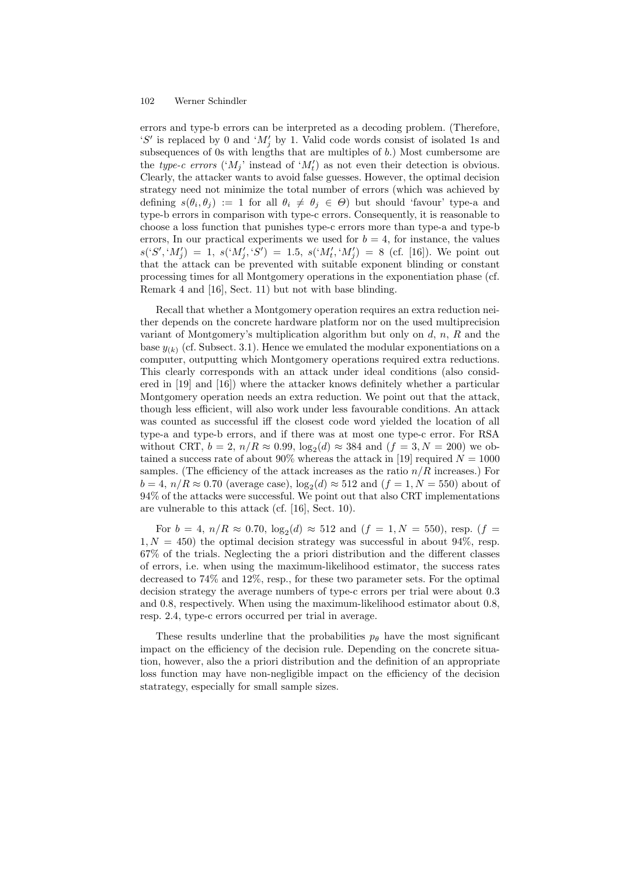errors and type-b errors can be interpreted as a decoding problem. (Therefore, 'S' is replaced by 0 and ' $M'_j$  by 1. Valid code words consist of isolated 1s and subsequences of 0s with lengths that are multiples of  $b$ .) Most cumbersome are the *type-c errors*  $(M_j)$  instead of  $(M_t)$  as not even their detection is obvious. Clearly, the attacker wants to avoid false guesses. However, the optimal decision strategy need not minimize the total number of errors (which was achieved by defining  $s(\theta_i, \theta_j) := 1$  for all  $\theta_i \neq \theta_j \in \Theta$ ) but should 'favour' type-a and type-b errors in comparison with type-c errors. Consequently, it is reasonable to choose a loss function that punishes type-c errors more than type-a and type-b errors, In our practical experiments we used for  $b = 4$ , for instance, the values  $s('S', `M'_j) = 1, s('M'_j, `S') = 1.5, s('M'_t, `M'_j) = 8$  (cf. [16]). We point out that the attack can be prevented with suitable exponent blinding or constant processing times for all Montgomery operations in the exponentiation phase (cf. Remark 4 and [16], Sect. 11) but not with base blinding.

Recall that whether a Montgomery operation requires an extra reduction neither depends on the concrete hardware platform nor on the used multiprecision variant of Montgomery's multiplication algorithm but only on  $d, n, R$  and the base  $y_{(k)}$  (cf. Subsect. 3.1). Hence we emulated the modular exponentiations on a computer, outputting which Montgomery operations required extra reductions. This clearly corresponds with an attack under ideal conditions (also considered in [19] and [16]) where the attacker knows definitely whether a particular Montgomery operation needs an extra reduction. We point out that the attack, though less efficient, will also work under less favourable conditions. An attack was counted as successful iff the closest code word yielded the location of all type-a and type-b errors, and if there was at most one type-c error. For RSA without CRT,  $b = 2$ ,  $n/R \approx 0.99$ ,  $\log_2(d) \approx 384$  and  $(f = 3, N = 200)$  we obtained a success rate of about 90% whereas the attack in [19] required  $N = 1000$ samples. (The efficiency of the attack increases as the ratio  $n/R$  increases.) For  $b = 4$ ,  $n/R \approx 0.70$  (average case),  $\log_2(d) \approx 512$  and  $(f = 1, N = 550)$  about of 94% of the attacks were successful. We point out that also CRT implementations are vulnerable to this attack (cf. [16], Sect. 10).

For  $b = 4$ ,  $n/R \approx 0.70$ ,  $\log_2(d) \approx 512$  and  $(f = 1, N = 550)$ , resp.  $(f =$  $1, N = 450$ ) the optimal decision strategy was successful in about 94\%, resp. 67% of the trials. Neglecting the a priori distribution and the different classes of errors, i.e. when using the maximum-likelihood estimator, the success rates decreased to 74% and 12%, resp., for these two parameter sets. For the optimal decision strategy the average numbers of type-c errors per trial were about 0.3 and 0.8, respectively. When using the maximum-likelihood estimator about 0.8, resp. 2.4, type-c errors occurred per trial in average.

These results underline that the probabilities  $p_{\theta}$  have the most significant impact on the efficiency of the decision rule. Depending on the concrete situation, however, also the a priori distribution and the definition of an appropriate loss function may have non-negligible impact on the efficiency of the decision statrategy, especially for small sample sizes.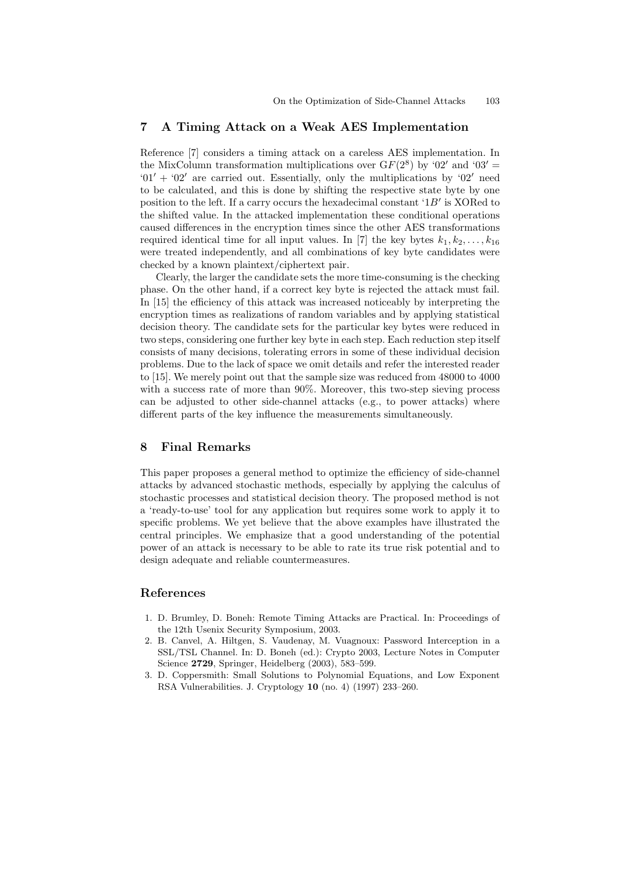## 7 A Timing Attack on a Weak AES Implementation

Reference [7] considers a timing attack on a careless AES implementation. In the MixColumn transformation multiplications over  $GF(2^8)$  by '02' and '03' =  $(01' + 02')$  are carried out. Essentially, only the multiplications by  $(02')$  need to be calculated, and this is done by shifting the respective state byte by one position to the left. If a carry occurs the hexadecimal constant  $1B'$  is XORed to the shifted value. In the attacked implementation these conditional operations caused differences in the encryption times since the other AES transformations required identical time for all input values. In [7] the key bytes  $k_1, k_2, \ldots, k_{16}$ were treated independently, and all combinations of key byte candidates were checked by a known plaintext/ciphertext pair.

Clearly, the larger the candidate sets the more time-consuming is the checking phase. On the other hand, if a correct key byte is rejected the attack must fail. In [15] the efficiency of this attack was increased noticeably by interpreting the encryption times as realizations of random variables and by applying statistical decision theory. The candidate sets for the particular key bytes were reduced in two steps, considering one further key byte in each step. Each reduction step itself consists of many decisions, tolerating errors in some of these individual decision problems. Due to the lack of space we omit details and refer the interested reader to [15]. We merely point out that the sample size was reduced from 48000 to 4000 with a success rate of more than 90%. Moreover, this two-step sieving process can be adjusted to other side-channel attacks (e.g., to power attacks) where different parts of the key influence the measurements simultaneously.

## 8 Final Remarks

This paper proposes a general method to optimize the efficiency of side-channel attacks by advanced stochastic methods, especially by applying the calculus of stochastic processes and statistical decision theory. The proposed method is not a 'ready-to-use' tool for any application but requires some work to apply it to specific problems. We yet believe that the above examples have illustrated the central principles. We emphasize that a good understanding of the potential power of an attack is necessary to be able to rate its true risk potential and to design adequate and reliable countermeasures.

## References

- 1. D. Brumley, D. Boneh: Remote Timing Attacks are Practical. In: Proceedings of the 12th Usenix Security Symposium, 2003.
- 2. B. Canvel, A. Hiltgen, S. Vaudenay, M. Vuagnoux: Password Interception in a SSL/TSL Channel. In: D. Boneh (ed.): Crypto 2003, Lecture Notes in Computer Science 2729, Springer, Heidelberg (2003), 583–599.
- 3. D. Coppersmith: Small Solutions to Polynomial Equations, and Low Exponent RSA Vulnerabilities. J. Cryptology 10 (no. 4) (1997) 233–260.